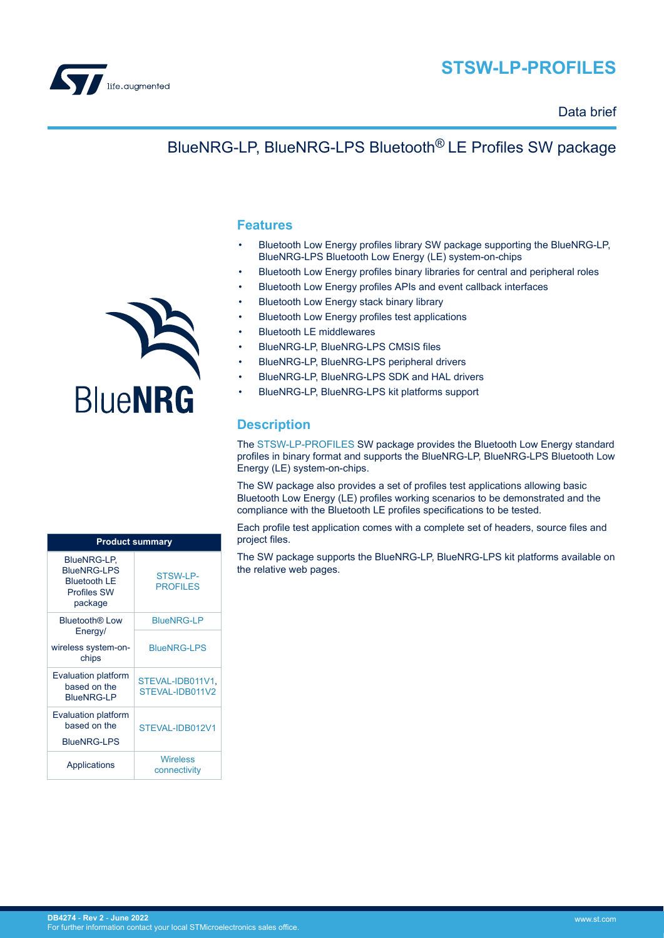

# **STSW-LP-PROFILES**

### Data brief

# BlueNRG-LP, BlueNRG-LPS Bluetooth® LE Profiles SW package

#### **Features**

- Bluetooth Low Energy profiles library SW package supporting the BlueNRG-LP, BlueNRG-LPS Bluetooth Low Energy (LE) system-on-chips
- Bluetooth Low Energy profiles binary libraries for central and peripheral roles
- Bluetooth Low Energy profiles APIs and event callback interfaces
- Bluetooth Low Energy stack binary library
- Bluetooth Low Energy profiles test applications
- Bluetooth LE middlewares
- BlueNRG-LP, BlueNRG-LPS CMSIS files
- BlueNRG-LP, BlueNRG-LPS peripheral drivers
- BlueNRG-LP, BlueNRG-LPS SDK and HAL drivers
- BlueNRG-LP, BlueNRG-LPS kit platforms support

### **Description**

The [STSW-LP-PROFILES](https://www.st.com/en/product/STSW-LP-PROFILES?ecmp=tt9470_gl_link_feb2019&rt=db&id=DB4274) SW package provides the Bluetooth Low Energy standard profiles in binary format and supports the BlueNRG-LP, BlueNRG-LPS Bluetooth Low Energy (LE) system-on-chips.

The SW package also provides a set of profiles test applications allowing basic Bluetooth Low Energy (LE) profiles working scenarios to be demonstrated and the compliance with the Bluetooth LE profiles specifications to be tested.

Each profile test application comes with a complete set of headers, source files and project files.

The SW package supports the BlueNRG-LP, BlueNRG-LPS kit platforms available on the relative web pages.



| <b>Product summary</b>                                                                    |                                     |
|-------------------------------------------------------------------------------------------|-------------------------------------|
| BlueNRG-LP,<br><b>BlueNRG-LPS</b><br><b>Bluetooth LE</b><br><b>Profiles SW</b><br>package | STSW-LP-<br><b>PROFILES</b>         |
| Bluetooth® Low<br>Energy/                                                                 | <b>BlueNRG-LP</b>                   |
| wireless system-on-<br>chips                                                              | <b>BlueNRG-LPS</b>                  |
| <b>Evaluation platform</b><br>based on the<br><b>BlueNRG-LP</b>                           | STEVAL-IDB011V1,<br>STEVAL-IDB011V2 |
| <b>Evaluation platform</b><br>based on the<br><b>BlueNRG-LPS</b>                          | STEVAL-IDB012V1                     |
| <b>Applications</b>                                                                       | <b>Wireless</b><br>connectivity     |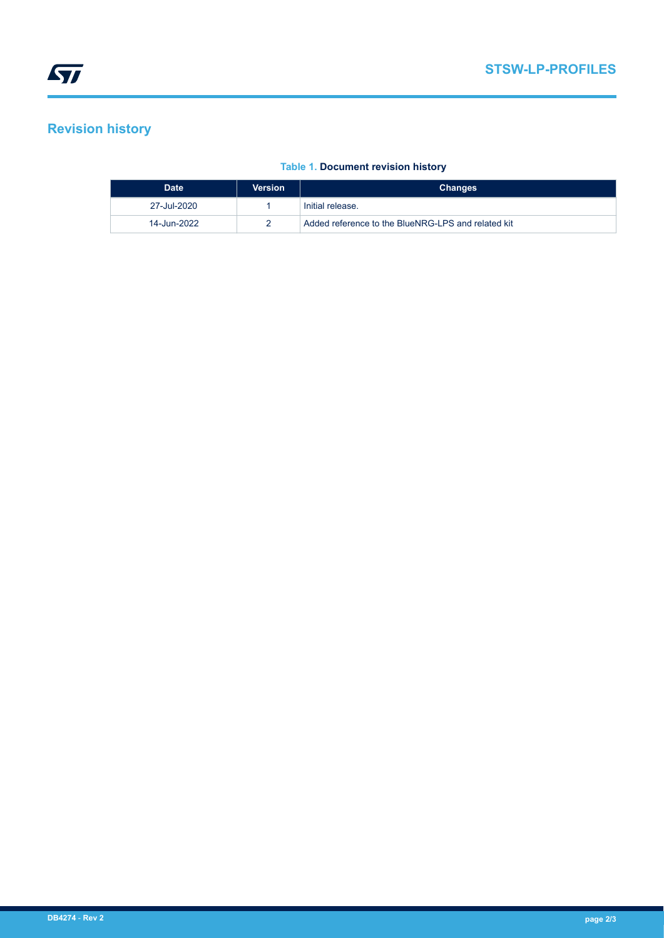## **Revision history**

| <b>Date</b> | Version | <b>Changes</b>                                     |
|-------------|---------|----------------------------------------------------|
| 27-Jul-2020 |         | Initial release.                                   |
| 14-Jun-2022 |         | Added reference to the BlueNRG-LPS and related kit |

### **Table 1. Document revision history**